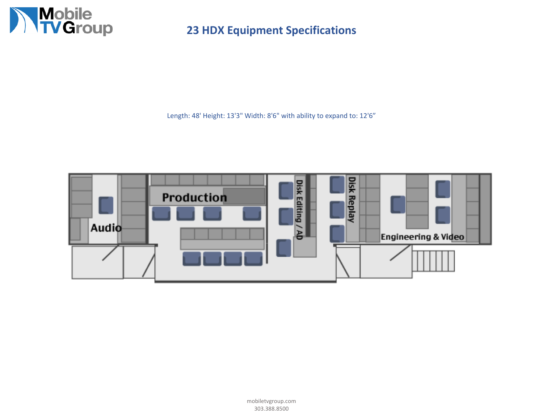

**23 HDX Equipment Specifications**

Length: 48' Height: 13'3" Width: 8'6" with ability to expand to: 12'6"